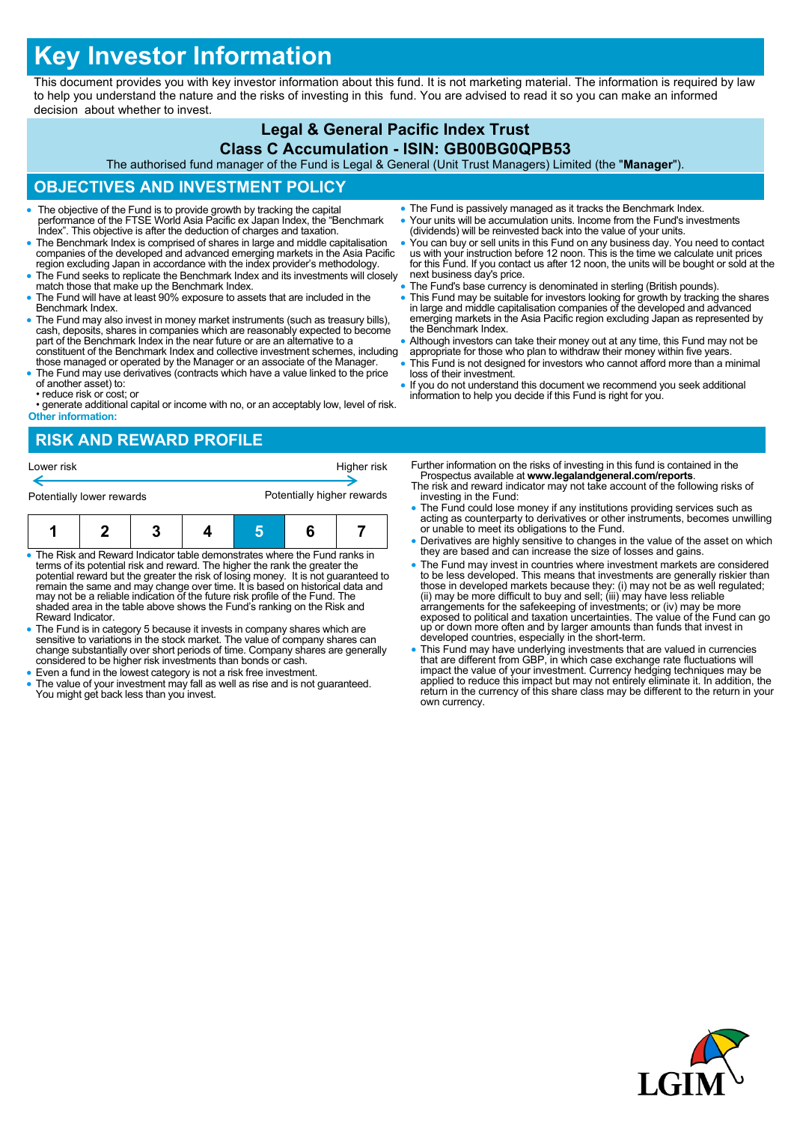# **Key Investor Information**

This document provides you with key investor information about this fund. It is not marketing material. The information is required by law to help you understand the nature and the risks of investing in this fund. You are advised to read it so you can make an informed decision about whether to invest.

#### **Legal & General Pacific Index Trust Class C Accumulation - ISIN: GB00BG0QPB53**

The authorised fund manager of the Fund is Legal & General (Unit Trust Managers) Limited (the "**Manager**").

# **OBJECTIVES AND INVESTMENT POLICY**

- The objective of the Fund is to provide growth by tracking the capital performance of the FTSE World Asia Pacific ex Japan Index, the "Benchmark Index". This objective is after the deduction of charges and taxation.
- The Benchmark Index is comprised of shares in large and middle capitalisation companies of the developed and advanced emerging markets in the Asia Pacific region excluding Japan in accordance with the index provider's methodology.
- The Fund seeks to replicate the Benchmark Index and its investments will closely match those that make up the Benchmark Index.
- The Fund will have at least 90% exposure to assets that are included in the Benchmark Index.
- The Fund may also invest in money market instruments (such as treasury bills), cash, deposits, shares in companies which are reasonably expected to become part of the Benchmark Index in the near future or are an alternat constituent of the Benchmark Index and collective investment schemes, including
- those managed or operated by the Manager or an associate of the Manager. The Fund may use derivatives (contracts which have a value linked to the price of another asset) to:
- reduce risk or cost; or

• generate additional capital or income with no, or an acceptably low, level of risk. **Other information:**

- The Fund is passively managed as it tracks the Benchmark Index. Your units will be accumulation units. Income from the Fund's investments
- (dividends) will be reinvested back into the value of your units.
- You can buy or sell units in this Fund on any business day. You need to contact us with your instruction before 12 noon. This is the time we calculate unit prices for this Fund. If you contact us after 12 noon, the units will be bought or sold at the next business day's price.
- The Fund's base currency is denominated in sterling (British pounds).
- This Fund may be suitable for investors looking for growth by tracking the shares<br>in large and middle capitalisation companies of the developed and advanced<br>emerging markets in the Asia Pacific region excluding Japan as the Benchmark Index.
- Although investors can take their money out at any time, this Fund may not be
- appropriate for those who plan to withdraw their money within five years. This Fund is not designed for investors who cannot afford more than a minimal loss of their investment.
- If you do not understand this document we recommend you seek additional information to help you decide if this Fund is right for you.

# **RISK AND REWARD PROFILE**



- The Risk and Reward Indicator table demonstrates where the Fund ranks in terms of its potential risk and reward. The higher the rank the greater the potential reward but the greater the risk of losing money. It is not guaranteed to remain the same and may change over time. It is based on historical data and may not be a reliable indication of the future risk profile of the Fund. The shaded area in the table above shows the Fund's ranking on the Risk and Reward Indicator.
- The Fund is in category 5 because it invests in company shares which are sensitive to variations in the stock market. The value of company shares can change substantially over short periods of time. Company shares are generally considered to be higher risk investments than bonds or cash.
- Even a fund in the lowest category is not a risk free investment.
- The value of your investment may fall as well as rise and is not guaranteed. You might get back less than you invest.
- Further information on the risks of investing in this fund is contained in the Prospectus available at **www.legalandgeneral.com/reports**.
- The risk and reward indicator may not take account of the following risks of investing in the Fund:
- The Fund could lose money if any institutions providing services such as acting as counterparty to derivatives or other instruments, becomes unwilling or unable to meet its obligations to the Fund.
- Derivatives are highly sensitive to changes in the value of the asset on which they are based and can increase the size of losses and gains.
- The Fund may invest in countries where investment markets are considered to be less developed. This means that investments are generally riskier than<br>those in developed markets because they: (i) may not be as well regulated;<br>(ii) may be more difficult to buy and sell; (iii) may have less reliab exposed to political and taxation uncertainties. The value of the Fund can go up or down more often and by larger amounts than funds that invest in developed countries, especially in the short-term.
- This Fund may have underlying investments that are valued in currencies that are different from GBP, in which case exchange rate fluctuations will impact the value of your investment. Currency hedging techniques may be applied to reduce this impact but may not entirely eliminate it. In addition, the return in the currency of this share class may be different to the return in your own currency.